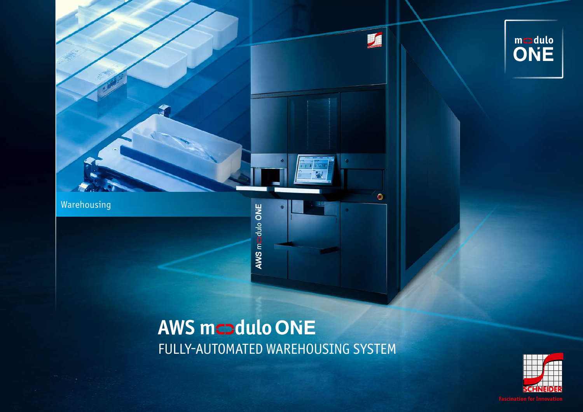

AWS medulo ONE

# $\overbrace{\text{ONE}}^{\text{mcodulo}}$

### **AWS mcadulo ONE** FULLY-AUTOMATED WAREHOUSING SYSTEM

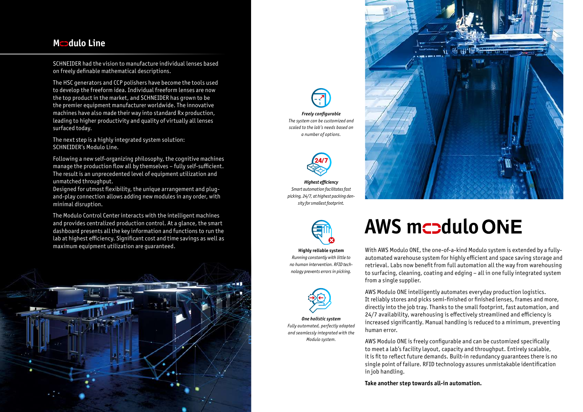#### **Mcadulo Line**

SCHNEIDER had the vision to manufacture individual lenses based on freely definable mathematical descriptions.

The HSC generators and CCP polishers have become the tools used to develop the freeform idea. Individual freeform lenses are now the top product in the market, and SCHNEIDER has grown to be the premier equipment manufacturer worldwide. The innovative machines have also made their way into standard Rx production, leading to higher productivity and quality of virtually all lenses surfaced today.

The next step is a highly integrated system solution: SCHNEIDER's Modulo Line.

Following a new self-organizing philosophy, the cognitive machines manage the production flow all by themselves – fully self-sufficient. The result is an unprecedented level of equipment utilization and unmatched throughput.

Designed for utmost flexibility, the unique arrangement and plugand-play connection allows adding new modules in any order, with minimal disruption.

The Modulo Control Center interacts with the intelligent machines and provides centralized production control. At a glance, the smart dashboard presents all the key information and functions to run the lab at highest efficiency. Significant cost and time savings as well as maximum equipment utilization are guaranteed.







**Highly reliable system** *Running constantly with little to no human intervention. RFID technology prevents errors in picking.*



*One holistic system Fully automated, perfectly adapted and seamlessly integrated with the Modulo system.*

## **AWS mcadulo ONE**

With AWS Modulo ONE, the one-of-a-kind Modulo system is extended by a fullyautomated warehouse system for highly efficient and space saving storage and retrieval. Labs now benefit from full automation all the way from warehousing to surfacing, cleaning, coating and edging – all in one fully integrated system from a single supplier.

AWS Modulo ONE intelligently automates everyday production logistics. It reliably stores and picks semi-finished or finished lenses, frames and more, directly into the job tray. Thanks to the small footprint, fast automation, and 24/7 availability, warehousing is effectively streamlined and efficiency is increased significantly. Manual handling is reduced to a minimum, preventing human error.

AWS Modulo ONE is freely configurable and can be customized specifically to meet a lab's facility layout, capacity and throughput. Entirely scalable, it is fit to reflect future demands. Built-in redundancy guarantees there is no single point of failure. RFID technology assures unmistakable identification in job handling.

**Take another step towards all-in automation.**



*Freely configurable The system can be customized and scaled to the lab's needs based on a number of options.*



*Highest efficiency Smart automation facilitates fast picking, 24/7, at highest packing density for smallest footprint.*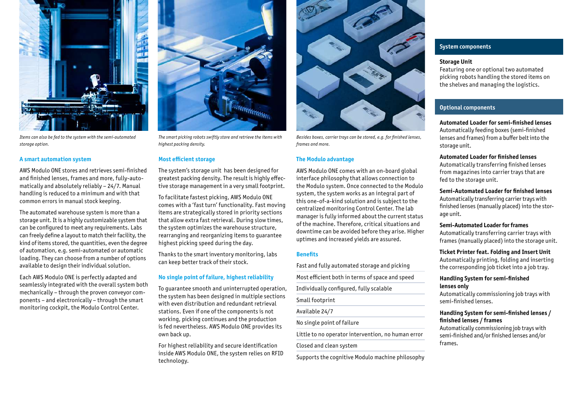

*Items can also be fed to the system with the semi-automated storage option.* 

#### **A smart automation system**

AWS Modulo ONE stores and retrieves semi-finished and finished lenses, frames and more, fully-automatically and absolutely reliably – 24/7. Manual handling is reduced to a minimum and with that common errors in manual stock keeping.

The automated warehouse system is more than a storage unit. It is a highly customizable system that can be configured to meet any requirements. Labs can freely define a layout to match their facility, the kind of items stored, the quantities, even the degree of automation, e.g. semi-automated or automatic loading. They can choose from a number of options available to design their individual solution.

Each AWS Modulo ONE is perfectly adapted and seamlessly integrated with the overall system both mechanically – through the proven conveyor components – and electronically – through the smart monitoring cockpit, the Modulo Control Center.



*The smart picking robots swiftly store and retrieve the items with highest packing density.*

#### **Most efficient storage**

The system's storage unit has been designed for greatest packing density. The result is highly effective storage management in a very small footprint.

To facilitate fastest picking, AWS Modulo ONE comes with a 'fast turn' functionality. Fast moving items are strategically stored in priority sections that allow extra fast retrieval. During slow times, the system optimizes the warehouse structure, rearranging and reorganizing items to guarantee highest picking speed during the day.

Thanks to the smart inventory monitoring, labs can keep better track of their stock.

#### **No single point of failure, highest reliability**

To guarantee smooth and uninterrupted operation, the system has been designed in multiple sections with even distribution and redundant retrieval stations. Even if one of the components is not working, picking continues and the production is fed nevertheless. AWS Modulo ONE provides its own back up.

For highest reliability and secure identification inside AWS Modulo ONE, the system relies on RFID technology.



*Besides boxes, carrier trays can be stored, e.g. for finished lenses, frames and more.* 

#### **The Modulo advantage**

AWS Modulo ONE comes with an on-board global interface philosophy that allows connection to the Modulo system. Once connected to the Modulo system, the system works as an integral part of this one-of-a-kind solution and is subject to the centralized monitoring Control Center. The lab manager is fully informed about the current status of the machine. Therefore, critical situations and downtime can be avoided before they arise. Higher uptimes and increased yields are assured.

#### **Benefits**

Fast and fully automated storage and picking Most efficient both in terms of space and speed Individually configured, fully scalable Small footprint Available 24/7 No single point of failure

Little to no operator intervention, no human error

Closed and clean system

Supports the cognitive Modulo machine philosophy

#### **System components**

#### **Storage Unit**

Featuring one or optional two automated picking robots handling the stored items on the shelves and managing the logistics.

#### **Optional components**

**Automated Loader for semi-finished lenses** Automatically feeding boxes (semi-finished lenses and frames) from a buffer belt into the storage unit.

#### **Automated Loader for finished lenses**

Automatically transferring finished lenses from magazines into carrier trays that are fed to the storage unit.

#### **Semi-Automated Loader for finished lenses**

Automatically transferring carrier trays with finished lenses (manually placed) into the storage unit.

#### **Semi-Automated Loader for frames**

Automatically transferring carrier trays with frames (manually placed) into the storage unit.

#### **Ticket Printer feat. Folding and Insert Unit**

Automatically printing, folding and inserting the corresponding job ticket into a job tray.

#### **Handling System for semi-finished lenses only**

Automatically commissioning job trays with semi-finished lenses.

#### **Handling System for semi-finished lenses / finished lenses / frames**

Automatically commissioning job trays with semi-finished and/or finished lenses and/or frames.